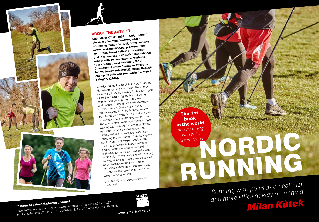

#### **ABOUT THE AUTHOR**

**Mgr. Milan Kůtek (1969) – A high school physical education teacher, editor of running magazine RUN, Nordic running**  *(www.nordicrunning.eu)* **promoter an<sup>d</sup> instructor. Former athlete – a sprinter and in recent years an active recreational runner with 10 completed marathons to his credit (personal record 3:13). Co-recipient of the European Athletics Innovation Awards (2012), Czech Republic champion of Nordic running in the M40 + category (2015).**

Introducing the first book in the world abou<sup>t</sup> all-season running with poles. The author received a European award for his description of the Nordic running method. Jogging with running poles protects the knees and back and is healthier and safer than normal running. Given its increase<sup>d</sup> energy expenditure, the technique may be utilized both by athletes in training an<sup>d</sup> individuals seeking effective weight loss. The author also presents a new concept in walking with poles for fitness (the Nordic run-walk), which is more natural than Nordic walking. Numerous celebrities, including top sportsmen in various sports, doctors and other experts talk about their experience with Nordic running and run-walk has been embraced by. In this book you will also find a detailed explanation of the proper Nordic running technique and its major benefits as well as an analysis of the most common mistakes, safety principles, examples of different exercises with poles and other methods of use.

*size 174 x 240 mm, 112 pages, full color, many photos*

**In case of interest please contact:** Olga Formanová, e-mail: formanova@smartpress.cz, tel: +420 608 265 337 Published by Smart Press, s. r. o., Velflíkova 12, 160 00 Prague 6, Czech Republic



**www.smartpress.cz**

**The 1st book in the world**  *about running with poles all year round!*

# *Running with poles as a healthier and more efficient way of running Milan Kůtek* With poles<br>
Illyear round!<br> **RUNNING**